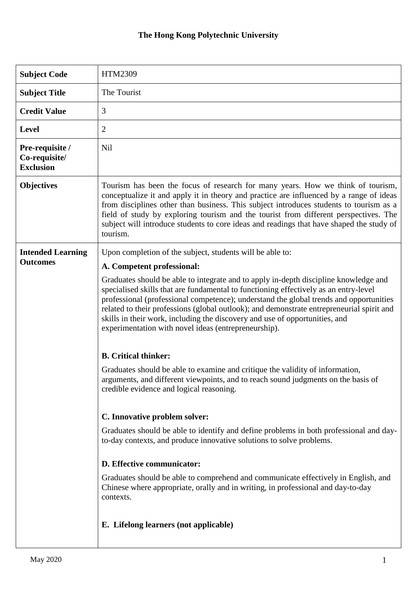| <b>Subject Code</b>                                  | HTM2309                                                                                                                                                                                                                                                                                                                                                                                                                                                                                                    |
|------------------------------------------------------|------------------------------------------------------------------------------------------------------------------------------------------------------------------------------------------------------------------------------------------------------------------------------------------------------------------------------------------------------------------------------------------------------------------------------------------------------------------------------------------------------------|
| <b>Subject Title</b>                                 | The Tourist                                                                                                                                                                                                                                                                                                                                                                                                                                                                                                |
| <b>Credit Value</b>                                  | 3                                                                                                                                                                                                                                                                                                                                                                                                                                                                                                          |
| <b>Level</b>                                         | $\overline{2}$                                                                                                                                                                                                                                                                                                                                                                                                                                                                                             |
| Pre-requisite /<br>Co-requisite/<br><b>Exclusion</b> | Nil                                                                                                                                                                                                                                                                                                                                                                                                                                                                                                        |
| <b>Objectives</b>                                    | Tourism has been the focus of research for many years. How we think of tourism,<br>conceptualize it and apply it in theory and practice are influenced by a range of ideas<br>from disciplines other than business. This subject introduces students to tourism as a<br>field of study by exploring tourism and the tourist from different perspectives. The<br>subject will introduce students to core ideas and readings that have shaped the study of<br>tourism.                                       |
| <b>Intended Learning</b><br><b>Outcomes</b>          | Upon completion of the subject, students will be able to:                                                                                                                                                                                                                                                                                                                                                                                                                                                  |
|                                                      | A. Competent professional:                                                                                                                                                                                                                                                                                                                                                                                                                                                                                 |
|                                                      | Graduates should be able to integrate and to apply in-depth discipline knowledge and<br>specialised skills that are fundamental to functioning effectively as an entry-level<br>professional (professional competence); understand the global trends and opportunities<br>related to their professions (global outlook); and demonstrate entrepreneurial spirit and<br>skills in their work, including the discovery and use of opportunities, and<br>experimentation with novel ideas (entrepreneurship). |
|                                                      | <b>B.</b> Critical thinker:                                                                                                                                                                                                                                                                                                                                                                                                                                                                                |
|                                                      | Graduates should be able to examine and critique the validity of information,<br>arguments, and different viewpoints, and to reach sound judgments on the basis of<br>credible evidence and logical reasoning.                                                                                                                                                                                                                                                                                             |
|                                                      | C. Innovative problem solver:                                                                                                                                                                                                                                                                                                                                                                                                                                                                              |
|                                                      | Graduates should be able to identify and define problems in both professional and day-<br>to-day contexts, and produce innovative solutions to solve problems.                                                                                                                                                                                                                                                                                                                                             |
|                                                      | D. Effective communicator:                                                                                                                                                                                                                                                                                                                                                                                                                                                                                 |
|                                                      | Graduates should be able to comprehend and communicate effectively in English, and<br>Chinese where appropriate, orally and in writing, in professional and day-to-day<br>contexts.                                                                                                                                                                                                                                                                                                                        |
|                                                      | E. Lifelong learners (not applicable)                                                                                                                                                                                                                                                                                                                                                                                                                                                                      |